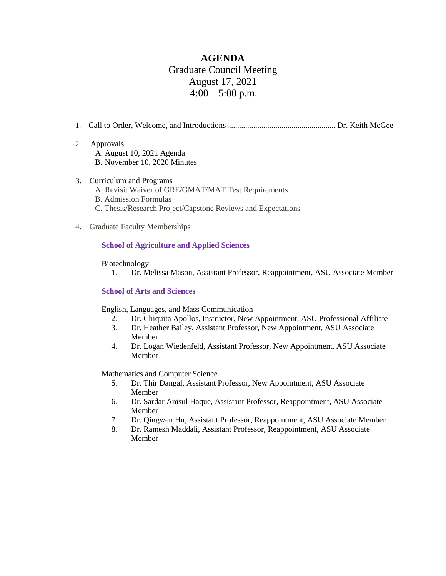# **AGENDA** Graduate Council Meeting August 17, 2021  $4:00 - 5:00$  p.m.

- 1. Call to Order, Welcome, and Introductions...................................................... Dr. Keith McGee
- 2. Approvals A. August 10, 2021 Agenda B. November 10, 2020 Minutes
- 3. Curriculum and Programs A. Revisit Waiver of GRE/GMAT/MAT Test Requirements B. Admission Formulas
	- C. Thesis/Research Project/Capstone Reviews and Expectations
- 4. Graduate Faculty Memberships

### **School of Agriculture and Applied Sciences**

#### Biotechnology

1. Dr. Melissa Mason, Assistant Professor, Reappointment, ASU Associate Member

#### **School of Arts and Sciences**

English, Languages, and Mass Communication

- 2. Dr. Chiquita Apollos, Instructor, New Appointment, ASU Professional Affiliate
- 3. Dr. Heather Bailey, Assistant Professor, New Appointment, ASU Associate Member
- 4. Dr. Logan Wiedenfeld, Assistant Professor, New Appointment, ASU Associate Member

Mathematics and Computer Science

- 5. Dr. Thir Dangal, Assistant Professor, New Appointment, ASU Associate Member
- 6. Dr. Sardar Anisul Haque, Assistant Professor, Reappointment, ASU Associate Member
- 7. Dr. Qingwen Hu, Assistant Professor, Reappointment, ASU Associate Member
- 8. Dr. Ramesh Maddali, Assistant Professor, Reappointment, ASU Associate Member